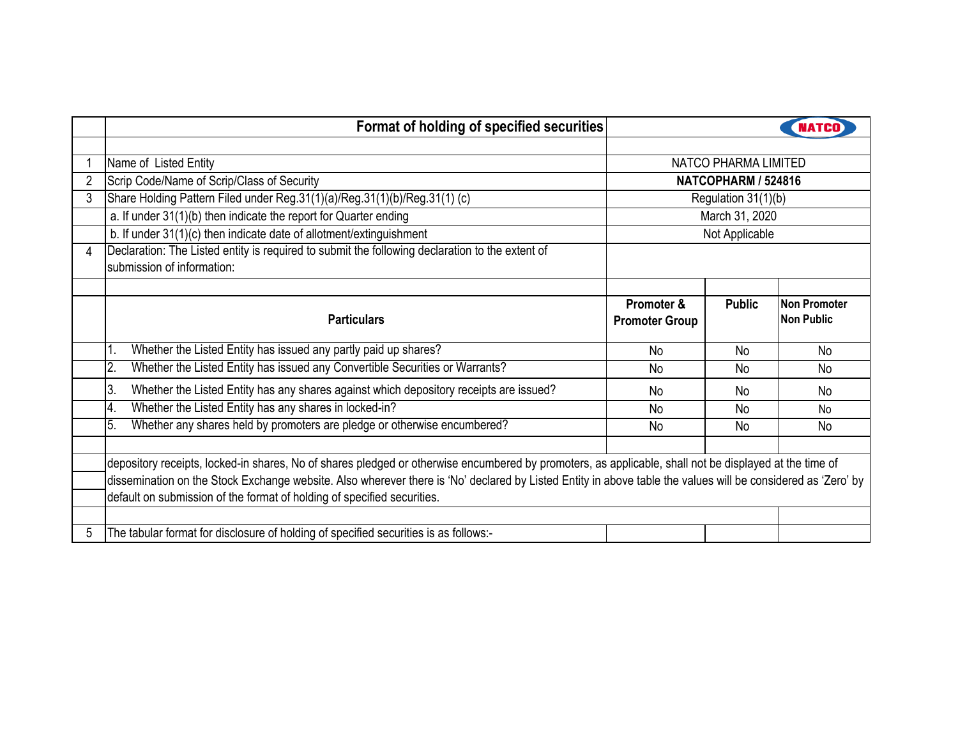|   | Format of holding of specified securities                                                                                                                    |                       |                |                     |  |  |  |  |  |
|---|--------------------------------------------------------------------------------------------------------------------------------------------------------------|-----------------------|----------------|---------------------|--|--|--|--|--|
|   |                                                                                                                                                              |                       |                |                     |  |  |  |  |  |
|   | Name of Listed Entity                                                                                                                                        | NATCO PHARMA LIMITED  |                |                     |  |  |  |  |  |
|   | Scrip Code/Name of Scrip/Class of Security                                                                                                                   | NATCOPHARM / 524816   |                |                     |  |  |  |  |  |
| 3 | Share Holding Pattern Filed under Reg.31(1)(a)/Reg.31(1)(b)/Reg.31(1) (c)                                                                                    | Regulation 31(1)(b)   |                |                     |  |  |  |  |  |
|   | a. If under 31(1)(b) then indicate the report for Quarter ending                                                                                             | March 31, 2020        |                |                     |  |  |  |  |  |
|   | b. If under 31(1)(c) then indicate date of allotment/extinguishment                                                                                          |                       | Not Applicable |                     |  |  |  |  |  |
| 4 | Declaration: The Listed entity is required to submit the following declaration to the extent of                                                              |                       |                |                     |  |  |  |  |  |
|   | submission of information:                                                                                                                                   |                       |                |                     |  |  |  |  |  |
|   |                                                                                                                                                              |                       |                |                     |  |  |  |  |  |
|   |                                                                                                                                                              | Promoter &            | <b>Public</b>  | <b>Non Promoter</b> |  |  |  |  |  |
|   | <b>Particulars</b>                                                                                                                                           | <b>Promoter Group</b> |                | <b>Non Public</b>   |  |  |  |  |  |
|   | Whether the Listed Entity has issued any partly paid up shares?                                                                                              | No                    | No             | <b>No</b>           |  |  |  |  |  |
|   | Whether the Listed Entity has issued any Convertible Securities or Warrants?<br>2.                                                                           | <b>No</b>             | No             | N <sub>0</sub>      |  |  |  |  |  |
|   | 3.<br>Whether the Listed Entity has any shares against which depository receipts are issued?                                                                 | No                    | No             | N <sub>0</sub>      |  |  |  |  |  |
|   | Whether the Listed Entity has any shares in locked-in?<br>4.                                                                                                 | <b>No</b>             | <b>No</b>      | No                  |  |  |  |  |  |
|   | Whether any shares held by promoters are pledge or otherwise encumbered?<br>5.                                                                               | No                    | No             | No                  |  |  |  |  |  |
|   |                                                                                                                                                              |                       |                |                     |  |  |  |  |  |
|   | depository receipts, locked-in shares, No of shares pledged or otherwise encumbered by promoters, as applicable, shall not be displayed at the time of       |                       |                |                     |  |  |  |  |  |
|   | dissemination on the Stock Exchange website. Also wherever there is 'No' declared by Listed Entity in above table the values will be considered as 'Zero' by |                       |                |                     |  |  |  |  |  |
|   | default on submission of the format of holding of specified securities.                                                                                      |                       |                |                     |  |  |  |  |  |
|   |                                                                                                                                                              |                       |                |                     |  |  |  |  |  |
| 5 | The tabular format for disclosure of holding of specified securities is as follows:-                                                                         |                       |                |                     |  |  |  |  |  |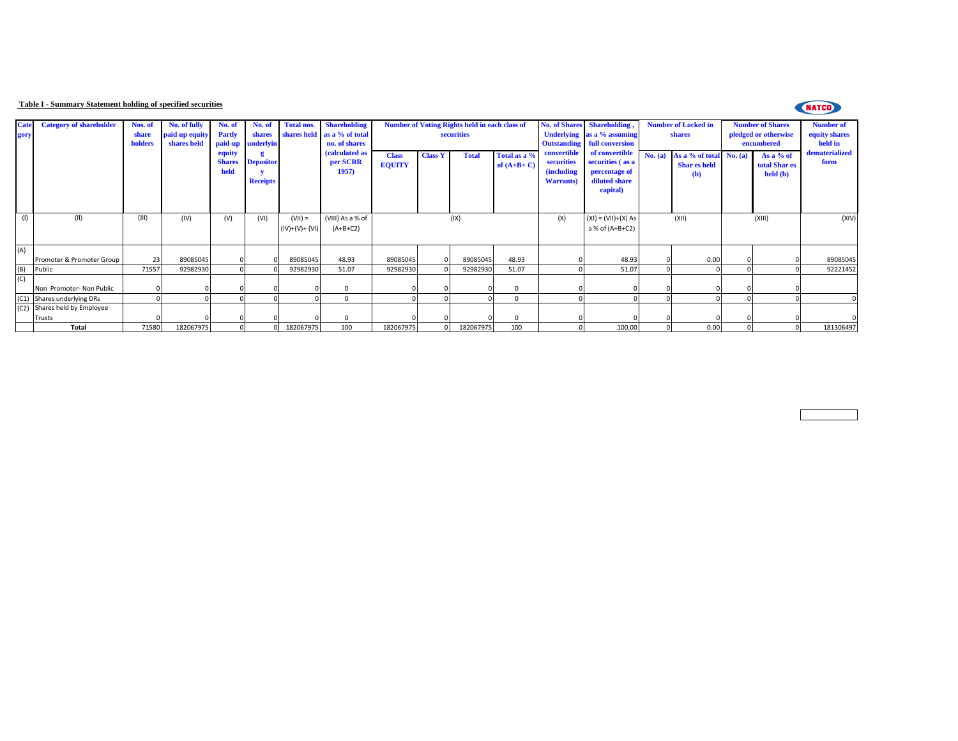## **Table I - Summary Statement holding of specified securities**



| Cate<br>gory | <b>Category of shareholder</b> | Nos. of<br>share<br>holders | No. of fully<br>paid up equity<br>shares held | No. of<br><b>Partly</b><br>paid-up | No. of<br>shares<br><b>inderlyin</b> | <b>Total nos.</b>           | <b>Shareholding</b><br>shares held as a % of total<br>no. of shares |                               |                | <b>Number of Voting Rights held in each class of</b><br>securities |                              | <b>Underlying</b><br><b>Outstanding</b>                              | No. of Shares Shareholding.<br>as a % assuming<br>full conversion                | <b>Number of Locked in</b><br>shares |                                                               |        | <b>Number of Shares</b><br>pledged or otherwise<br>encumbered | <b>Number of</b><br>equity shares<br>held in |
|--------------|--------------------------------|-----------------------------|-----------------------------------------------|------------------------------------|--------------------------------------|-----------------------------|---------------------------------------------------------------------|-------------------------------|----------------|--------------------------------------------------------------------|------------------------------|----------------------------------------------------------------------|----------------------------------------------------------------------------------|--------------------------------------|---------------------------------------------------------------|--------|---------------------------------------------------------------|----------------------------------------------|
|              |                                |                             |                                               | equity<br><b>Shares</b><br>held    | <b>Depositor</b><br><b>Receipts</b>  |                             | (calculated as<br>per SCRR<br>1957)                                 | <b>Class</b><br><b>EQUITY</b> | <b>Class Y</b> | <b>Total</b>                                                       | Total as a %<br>of $(A+B+C)$ | convertible<br>securities<br><i>(including)</i><br><b>Warrants</b> ) | of convertible<br>securities (as a<br>percentage of<br>diluted share<br>capital) |                                      | No. (a) As a % of total No. (a)<br><b>Shar es held</b><br>(b) |        | As a $%$ of<br>total Shar es<br>$\text{held}(\textbf{b})$     | dematerialized<br>form                       |
| (1)          | (II)                           | (III)                       | (IV)                                          | (V)                                | (VI)                                 | $(VII) =$<br>$(IV)+(V)+(V)$ | (VIII) As a % of<br>$(A+B+C2)$                                      |                               |                | (IX)                                                               |                              | (X)                                                                  | $(XI) = (VII)+(X) As$<br>a % of (A+B+C2)                                         | (XII)                                |                                                               | (XIII) |                                                               | (XIV)                                        |
| (A)          | Promoter & Promoter Group      | 23                          | 89085045                                      |                                    |                                      | 89085045                    | 48.93                                                               | 89085045                      |                | 89085045                                                           | 48.93                        |                                                                      | 48.93                                                                            |                                      | 0.00                                                          |        |                                                               | 89085045                                     |
| B)           | Public                         | 71557                       | 92982930                                      |                                    |                                      | 92982930                    | 51.07                                                               | 92982930                      |                | 92982930                                                           | 51.07                        |                                                                      | 51.07                                                                            |                                      |                                                               |        |                                                               | 92221452                                     |
|              | Non Promoter- Non Public       |                             |                                               |                                    |                                      |                             | $^{\circ}$                                                          |                               |                |                                                                    |                              |                                                                      |                                                                                  |                                      |                                                               |        |                                                               |                                              |
|              | (C1) Shares underlying DRs     |                             |                                               |                                    |                                      |                             | $\mathbf{0}$                                                        |                               |                | $\Omega$                                                           |                              |                                                                      |                                                                                  |                                      |                                                               |        |                                                               |                                              |
|              | (C2) Shares held by Employee   |                             |                                               |                                    |                                      |                             |                                                                     |                               |                |                                                                    |                              |                                                                      |                                                                                  |                                      |                                                               |        |                                                               |                                              |
|              | Trusts                         |                             |                                               | $\Omega$                           |                                      |                             | $\Omega$                                                            |                               |                |                                                                    |                              |                                                                      |                                                                                  |                                      |                                                               |        |                                                               |                                              |
|              | <b>Total</b>                   | 71580                       | 182067975                                     |                                    |                                      | 182067975                   | 100                                                                 | 182067975                     |                | 182067975                                                          | 100                          |                                                                      | 100.00                                                                           |                                      | 0.00                                                          |        |                                                               | 181306497                                    |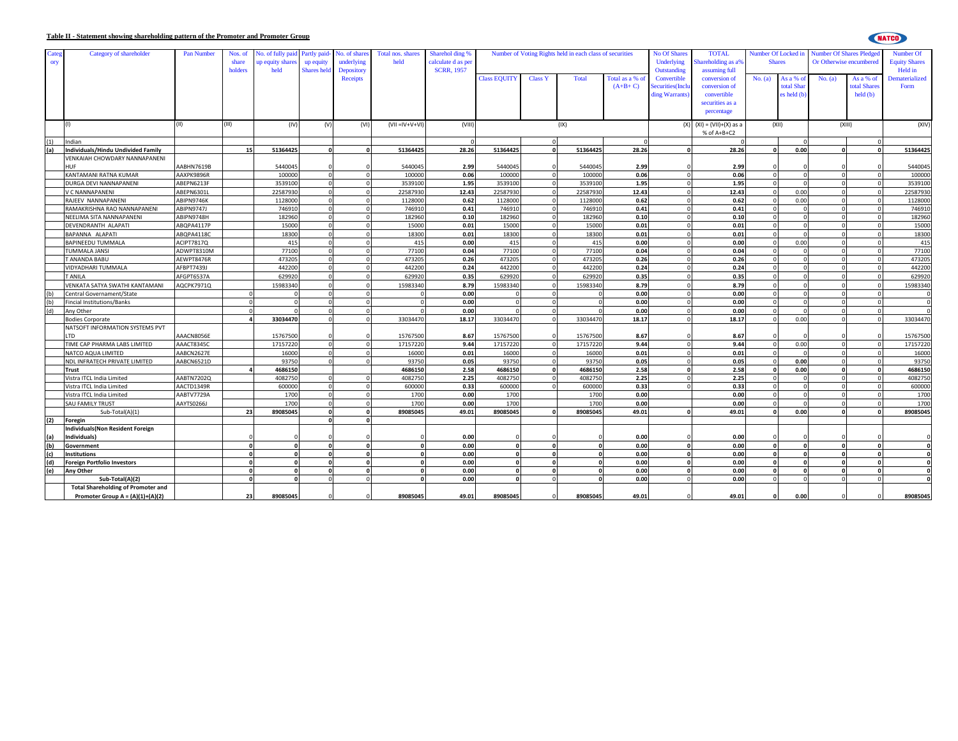## **Table II - Statement showing shareholding pattern of the Promoter and Promoter Group**

| - 7<br>-----<br>M.                                              |
|-----------------------------------------------------------------|
| M.<br>. .<br>.,<br>- -<br>. .<br>. .<br>. .<br>. .<br>. .<br>__ |

| Categ<br>ory | Category of shareholder                   | Pan Number        | Nos. of<br>share<br>holders | No. of fully paid Partly paid-<br>up equity share:<br>held | up equity<br><b>Shares</b> held | No. of share<br>underlying<br>Depository | Total nos. shares<br>held | Sharehol ding %<br>calculate d as per<br><b>SCRR, 1957</b> | Number of Voting Rights held in each class of securities |                |              |              | <b>No Of Shares</b><br>Underlying<br>Outstanding | <b>TOTAL</b><br>hareholding as a%<br>assuming full | Number Of Locked in<br><b>Shares</b> |              | <b>Number Of Shares Pledged</b> | Or Otherwise encumbered | Number Of<br><b>Equity Shares</b><br>Held in |
|--------------|-------------------------------------------|-------------------|-----------------------------|------------------------------------------------------------|---------------------------------|------------------------------------------|---------------------------|------------------------------------------------------------|----------------------------------------------------------|----------------|--------------|--------------|--------------------------------------------------|----------------------------------------------------|--------------------------------------|--------------|---------------------------------|-------------------------|----------------------------------------------|
|              |                                           |                   |                             |                                                            |                                 | <b>Receipts</b>                          |                           |                                                            | <b>Class EQUITY</b>                                      | <b>Class Y</b> | <b>Total</b> | Total as a % | Convertible                                      | conversion of                                      | No. (a)                              | As a % o     | No. (a)                         | As a % of               | Dematerialized                               |
|              |                                           |                   |                             |                                                            |                                 |                                          |                           |                                                            |                                                          |                |              | $(A+B+C)$    | ecurities(Incl                                   | conversion of                                      |                                      | total Shar   |                                 | total Share             | Form                                         |
|              |                                           |                   |                             |                                                            |                                 |                                          |                           |                                                            |                                                          |                |              |              | ding Warrants                                    | convertible                                        |                                      | es held (b)  |                                 | held(b)                 |                                              |
|              |                                           |                   |                             |                                                            |                                 |                                          |                           |                                                            |                                                          |                |              |              |                                                  | securities as a                                    |                                      |              |                                 |                         |                                              |
|              |                                           |                   |                             |                                                            |                                 |                                          |                           |                                                            |                                                          |                |              |              |                                                  | percentage                                         |                                      |              |                                 |                         |                                              |
|              |                                           |                   |                             |                                                            |                                 |                                          |                           |                                                            |                                                          |                |              |              |                                                  |                                                    |                                      |              |                                 |                         |                                              |
|              |                                           | (II)              | (III)                       | (IV)                                                       | (V)                             | (VI)                                     | $(VII = IV + V + VI)$     | (VIII)                                                     |                                                          |                | (IX)         |              |                                                  | $(X)$ $(XI) = (VII)+(X)$ as a                      |                                      | (XII)        |                                 | (XIII)                  | (XIV)                                        |
|              |                                           |                   |                             |                                                            |                                 |                                          |                           |                                                            |                                                          |                |              |              |                                                  | % of A+B+C2                                        |                                      |              |                                 |                         |                                              |
| (1)          | Indian                                    |                   |                             |                                                            |                                 |                                          |                           |                                                            |                                                          |                |              |              |                                                  |                                                    |                                      |              |                                 |                         |                                              |
| (a)          | Individuals/Hindu Undivided Family        |                   | 15                          | 51364425                                                   | $\Omega$                        | n                                        | 51364425                  | 28.26                                                      | 51364425                                                 |                | 51364425     | 28.26        |                                                  | 28.26                                              | $\Omega$                             | 0.00         | $\Omega$                        | $\mathbf{0}$            | 51364425                                     |
|              | VENKAIAH CHOWDARY NANNAPANENI             |                   |                             |                                                            |                                 |                                          |                           |                                                            |                                                          |                |              |              |                                                  |                                                    |                                      |              |                                 |                         |                                              |
|              | <b>IUF</b>                                | AABHN7619B        |                             | 5440045                                                    |                                 |                                          | 5440045                   | 2.99                                                       | 5440045                                                  |                | 5440045      | 2.99         |                                                  | 2.99                                               |                                      |              |                                 |                         | 5440045                                      |
|              | KANTAMANI RATNA KUMAR                     | AAXPK9896R        |                             | 100000                                                     |                                 |                                          | 100000                    | 0.06                                                       | 100000                                                   |                | 100000       | 0.06         |                                                  | 0.06                                               | $\Omega$                             |              |                                 |                         | 100000                                       |
|              | DURGA DEVI NANNAPANENI                    | ABEPN6213F        |                             | 3539100                                                    |                                 |                                          | 3539100                   | 1.95                                                       | 3539100                                                  |                | 353910       | 1.95         |                                                  | 1.95                                               | $\Omega$                             |              |                                 |                         | 3539100                                      |
|              | V C NANNAPANENI                           | ABEPN6301L        |                             | 22587930                                                   |                                 |                                          | 22587930                  | 12.43                                                      | 22587930                                                 |                | 22587930     | 12.43        |                                                  | 12.43                                              | $\Omega$                             | 0.00         |                                 | $\Omega$                | 22587930                                     |
|              | RAJEEV NANNAPANENI                        | ABIPN9746K        |                             | 1128000                                                    | O.                              |                                          | 1128000                   | 0.62                                                       | 1128000                                                  |                | 1128000      | 0.62         |                                                  | 0.62                                               | $\Omega$                             | 0.00         |                                 | $\Omega$                | 1128000                                      |
|              | RAMAKRISHNA RAO NANNAPANENI               | <b>ABIPN9747J</b> |                             | 746910                                                     |                                 |                                          | 746910                    | 0.41                                                       | 746910                                                   |                | 746910       | 0.41         |                                                  | 0.41                                               |                                      |              |                                 |                         | 746910                                       |
|              | NEELIMA SITA NANNAPANENI                  | ABIPN9748H        |                             | 182960                                                     |                                 |                                          | 182960                    | 0.10                                                       | 182960                                                   |                | 182960       | 0.10         |                                                  | 0.10                                               |                                      |              |                                 |                         | 182960                                       |
|              | DEVENDRANTH ALAPATI                       | ABOPA4117P        |                             | 15000                                                      | $\sqrt{2}$                      |                                          | 15000                     | 0.01                                                       | 15000                                                    |                | 15000        | 0.01         |                                                  | 0.01                                               | $\Omega$                             |              |                                 |                         | 15000                                        |
|              | BAPANNA ALAPATI                           | ABQPA4118C        |                             | 18300                                                      | $\Omega$                        |                                          | 18300                     | 0.01                                                       | 18300                                                    |                | 18300        | 0.01         |                                                  | 0.01                                               | $\Omega$                             |              |                                 | $\Omega$                | 18300                                        |
|              |                                           |                   |                             | 415                                                        |                                 |                                          |                           |                                                            | 415                                                      |                | 415          |              |                                                  |                                                    |                                      | 0.00         |                                 |                         |                                              |
|              | BAPINEEDU TUMMALA                         | ACIPT7817Q        |                             |                                                            |                                 |                                          | 415                       | 0.00                                                       |                                                          |                |              | 0.00         |                                                  | 0.00                                               |                                      |              |                                 |                         | 415                                          |
|              | UMMALA JANSI                              | ADWPT8310M        |                             | 77100                                                      |                                 |                                          | 77100                     | 0.04                                                       | 77100                                                    |                | 77100        | 0.04         |                                                  | 0.04                                               |                                      |              |                                 |                         | 77100                                        |
|              | <b>FANANDA BABU</b>                       | AEWPT8476R        |                             | 473205                                                     |                                 |                                          | 473205                    | 0.26                                                       | 473205                                                   |                | 473205       | 0.26         |                                                  | 0.26                                               |                                      |              |                                 |                         | 473205                                       |
|              | VIDYADHARI TUMMALA                        | AFBPT7439J        |                             | 442200                                                     |                                 |                                          | 442200                    | 0.24                                                       | 442200                                                   |                | 442200       | 0.24         |                                                  | 0.24                                               | $\Omega$                             |              |                                 |                         | 442200                                       |
|              | T ANILA                                   | AFGPT6537A        |                             | 629920                                                     | $\Omega$                        |                                          | 629920                    | 0.35                                                       | 629920                                                   |                | 629920       | 0.35         |                                                  | 0.35                                               | $\Omega$                             |              |                                 | $\Omega$                | 629920                                       |
|              | VENKATA SATYA SWATHI KANTAMANI            | AQCPK7971Q        |                             | 15983340                                                   |                                 |                                          | 15983340                  | 8.79                                                       | 15983340                                                 |                | 15983340     | 8.79         |                                                  | 8.79                                               |                                      |              |                                 |                         | 15983340                                     |
| (b)          | Central Governament/State                 |                   |                             |                                                            |                                 |                                          |                           | 0.00                                                       |                                                          |                |              | 0.00         |                                                  | 0.00                                               | $\Omega$                             |              |                                 | $\Omega$                | $\overline{\mathbf{0}}$                      |
| (b)          | <b>Fincial Institutions/Banks</b>         |                   |                             |                                                            |                                 |                                          |                           | 0.00                                                       |                                                          |                |              | 0.00         |                                                  | 0.00                                               |                                      |              |                                 |                         | $\mathbf 0$                                  |
| (d)          | Any Other                                 |                   |                             |                                                            |                                 |                                          |                           | 0.00                                                       |                                                          |                |              | 0.00         |                                                  | 0.00                                               |                                      |              |                                 |                         | $\mathbf 0$                                  |
|              | Bodies Corporate                          |                   |                             | 33034470                                                   |                                 |                                          | 33034470                  | 18.17                                                      | 33034470                                                 |                | 33034470     | 18.17        |                                                  | 18.17                                              |                                      | 0.00         |                                 |                         | 33034470                                     |
|              | NATSOFT INFORMATION SYSTEMS PVT           |                   |                             |                                                            |                                 |                                          |                           |                                                            |                                                          |                |              |              |                                                  |                                                    |                                      |              |                                 |                         |                                              |
|              | <b>TD</b>                                 | AAACN8056E        |                             | 15767500                                                   |                                 |                                          | 15767500                  | 8.67                                                       | 15767500                                                 |                | 15767500     | 8.67         |                                                  | 8.67                                               |                                      |              |                                 |                         | 15767500                                     |
|              | TIME CAP PHARMA LABS LIMITED              | AAACT8345C        |                             | 17157220                                                   |                                 |                                          | 17157220                  | 9.44                                                       | 17157220                                                 |                | 17157220     | 9.44         |                                                  | 9.44                                               |                                      | 0.00         |                                 |                         | 17157220                                     |
|              | NATCO AQUA LIMITED                        | AABCN2627E        |                             | 16000                                                      |                                 |                                          | 16000                     | 0.01                                                       | 16000                                                    |                | 16000        | 0.01         |                                                  | 0.01                                               |                                      |              |                                 |                         | 16000                                        |
|              | NDL INFRATECH PRIVATE LIMITED             | AABCN6521D        |                             | 93750                                                      |                                 |                                          | 93750                     | 0.05                                                       | 93750                                                    |                | 93750        | 0.05         |                                                  | 0.05                                               |                                      | 0.00         |                                 |                         | 93750                                        |
|              | Trust                                     |                   |                             | 4686150                                                    |                                 |                                          | 4686150                   | 2.58                                                       | 4686150                                                  |                | 4686150      | 2.58         |                                                  | 2.58                                               | $\Omega$                             | 0.00         |                                 | n                       | 4686150                                      |
|              | Vistra ITCL India Limited                 | AABTN7202Q        |                             | 4082750                                                    |                                 |                                          | 4082750                   | 2.25                                                       | 4082750                                                  |                | 4082750      | 2.25         |                                                  | 2.25                                               | $\Omega$                             |              |                                 |                         | 4082750                                      |
|              | Vistra ITCL India Limited                 | AACTD1349R        |                             | 600000                                                     |                                 |                                          | 600000                    | 0.33                                                       | 600000                                                   |                | 600000       | 0.33         |                                                  | 0.33                                               |                                      |              |                                 |                         | 600000                                       |
|              | Vistra ITCL India Limited                 | AABTV7729A        |                             | 1700                                                       |                                 |                                          | 1700                      | 0.00                                                       | 1700                                                     |                | 1700         | 0.00         |                                                  | 0.00                                               |                                      |              |                                 |                         | 1700                                         |
|              | SAU FAMILY TRUST                          | AAYTS0266J        |                             | 1700                                                       |                                 |                                          | 1700                      | 0.00                                                       | 1700                                                     |                | 1700         | 0.00         |                                                  | 0.00                                               |                                      |              |                                 |                         | 1700                                         |
|              | Sub-Total(A)(1)                           |                   | 23                          | 89085045                                                   |                                 |                                          | 89085045                  | 49.01                                                      | 89085045                                                 |                | 89085045     | 49.01        |                                                  | 49.01                                              | $\mathbf{0}$                         | 0.00         |                                 |                         | 89085045                                     |
| (2)          | Foregin                                   |                   |                             |                                                            | ΩI                              |                                          |                           |                                                            |                                                          |                |              |              |                                                  |                                                    |                                      |              |                                 |                         |                                              |
|              | Individuals(Non Resident Foreign          |                   |                             |                                                            |                                 |                                          |                           |                                                            |                                                          |                |              |              |                                                  |                                                    |                                      |              |                                 |                         |                                              |
|              | Individuals)                              |                   |                             |                                                            |                                 |                                          |                           | 0.00                                                       |                                                          |                |              | 0.00         |                                                  | 0.00                                               |                                      |              |                                 |                         |                                              |
| (a)<br>(b)   | Government                                |                   | $\mathbf{0}$                | $\mathbf{0}$                                               |                                 | $\Omega$                                 | $\mathbf{0}$              | 0.00                                                       | $\Omega$                                                 |                |              | 0.00         |                                                  | 0.00                                               | $\Omega$                             | $\mathbf{0}$ | $\Omega$                        | $\mathbf 0$             | $\mathbf{0}$                                 |
| (c)          |                                           |                   |                             | $\mathbf{0}$                                               |                                 |                                          |                           | 0.00                                                       |                                                          |                |              | 0.00         |                                                  |                                                    | $\Omega$                             |              |                                 | $\sqrt{2}$              | $\mathbf{0}$                                 |
|              | <b>Institutions</b>                       |                   |                             | $\mathbf{0}$                                               |                                 |                                          | $\Omega$                  |                                                            |                                                          |                |              |              |                                                  | 0.00                                               |                                      |              |                                 | $\Omega$                |                                              |
| (d)          | <b>Foreign Portfolio Investors</b>        |                   | $\Omega$                    |                                                            | ΩI                              |                                          |                           | 0.00                                                       |                                                          |                |              | 0.00         |                                                  | 0.00                                               | $\Omega$                             |              |                                 |                         | $\mathbf 0$                                  |
| (e)          | Any Other                                 |                   | $\Omega$                    | $\mathbf{0}$                                               |                                 |                                          | o                         | 0.00                                                       | $\Omega$                                                 |                |              | 0.00         |                                                  | 0.00                                               | $\Omega$                             | $\Omega$     |                                 | $\Omega$                | 0                                            |
|              | Sub-Total(A)(2)                           |                   |                             |                                                            |                                 |                                          |                           | 0.00                                                       |                                                          |                |              | 0.00         |                                                  | 0.00                                               |                                      |              |                                 |                         | $\mathbf{0}$                                 |
|              | <b>Total Shareholding of Promoter and</b> |                   |                             |                                                            |                                 |                                          |                           |                                                            |                                                          |                |              |              |                                                  |                                                    |                                      |              |                                 |                         |                                              |
|              | Promoter Group $A = (A)(1)+(A)(2)$        |                   | 23                          | 89085045                                                   |                                 |                                          | 89085045                  | 49.01                                                      | 89085045                                                 |                | 89085045     | 49.01        |                                                  | 49.01                                              |                                      | 0.00         |                                 |                         | 89085045                                     |